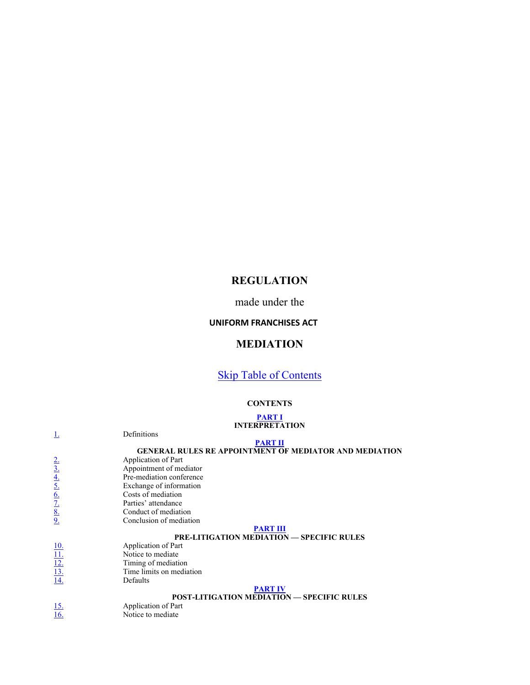# REGULATION

made under the

### UNIFORM FRANCHISES ACT

# MEDIATION

# **Skip Table of Contents**

### **CONTENTS**

|                                                                              | <b>PART I</b><br><b>INTERPRETATION</b>                        |
|------------------------------------------------------------------------------|---------------------------------------------------------------|
|                                                                              | Definitions                                                   |
|                                                                              | <b>PART II</b>                                                |
|                                                                              | <b>GENERAL RULES RE APPOINTMENT OF MEDIATOR AND MEDIATION</b> |
|                                                                              | Application of Part                                           |
|                                                                              | Appointment of mediator                                       |
| $\frac{2.}{3.4}$<br>$\frac{4.}{5.6}$<br>$\frac{6.}{7.8}$<br>$\frac{8.}{9.4}$ | Pre-mediation conference                                      |
|                                                                              | Exchange of information                                       |
|                                                                              | Costs of mediation                                            |
|                                                                              | Parties' attendance                                           |
|                                                                              | Conduct of mediation                                          |
|                                                                              | Conclusion of mediation                                       |
|                                                                              | <b>PART III</b>                                               |
|                                                                              | PRE-LITIGATION MEDIATION - SPECIFIC RULES                     |
|                                                                              | Application of Part                                           |
|                                                                              | Notice to mediate                                             |
|                                                                              | Timing of mediation                                           |
|                                                                              | Time limits on mediation                                      |
| $\frac{10}{11}$<br>$\frac{12}{13}$<br>$\frac{13}{14}$                        | Defaults                                                      |
|                                                                              | <b>PART IV</b>                                                |
|                                                                              | <b>POST-LITIGATION MEDIATION - SPECIFIC RULES</b>             |
| $\frac{15}{16}$                                                              | Application of Part                                           |
|                                                                              | Notice to mediate                                             |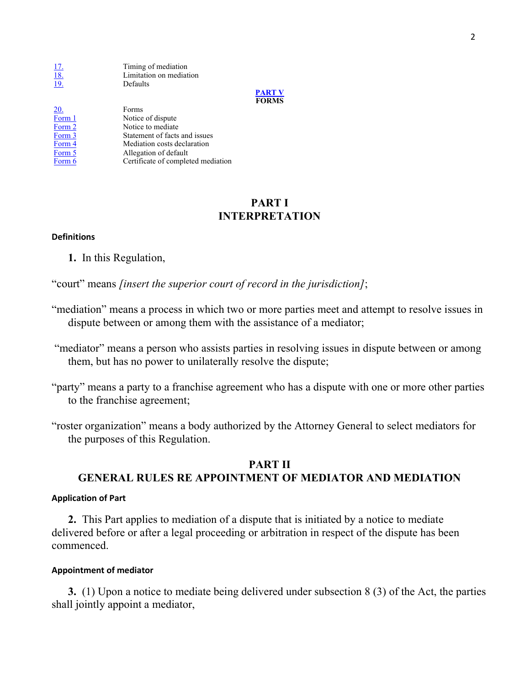17. Timing of mediation<br>
18. Limitation on mediat<br>
19. Defaults Limitation on mediation **Defaults** 

PART V FORMS

| 20.    | Forms                              |
|--------|------------------------------------|
| Form 1 | Notice of dispute                  |
| Form 2 | Notice to mediate                  |
| Form 3 | Statement of facts and issues      |
| Form 4 | Mediation costs declaration        |
| Form 5 | Allegation of default              |
| Form 6 | Certificate of completed mediation |
|        |                                    |

## PART I INTERPRETATION

### Definitions

1. In this Regulation,

"court" means [insert the superior court of record in the jurisdiction];

- "mediation" means a process in which two or more parties meet and attempt to resolve issues in dispute between or among them with the assistance of a mediator;
- "mediator" means a person who assists parties in resolving issues in dispute between or among them, but has no power to unilaterally resolve the dispute;
- "party" means a party to a franchise agreement who has a dispute with one or more other parties to the franchise agreement;
- "roster organization" means a body authorized by the Attorney General to select mediators for the purposes of this Regulation.

# PART II GENERAL RULES RE APPOINTMENT OF MEDIATOR AND MEDIATION

### Application of Part

2. This Part applies to mediation of a dispute that is initiated by a notice to mediate delivered before or after a legal proceeding or arbitration in respect of the dispute has been commenced.

### Appointment of mediator

3. (1) Upon a notice to mediate being delivered under subsection 8 (3) of the Act, the parties shall jointly appoint a mediator,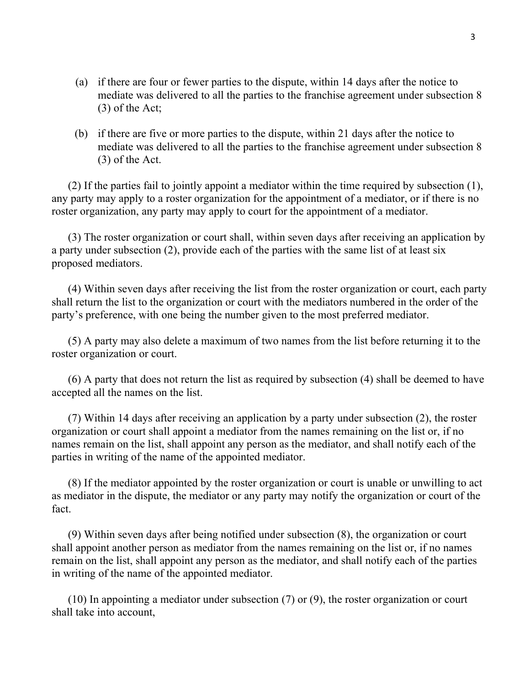- (a) if there are four or fewer parties to the dispute, within 14 days after the notice to mediate was delivered to all the parties to the franchise agreement under subsection 8 (3) of the Act;
- (b) if there are five or more parties to the dispute, within 21 days after the notice to mediate was delivered to all the parties to the franchise agreement under subsection 8 (3) of the Act.

 (2) If the parties fail to jointly appoint a mediator within the time required by subsection (1), any party may apply to a roster organization for the appointment of a mediator, or if there is no roster organization, any party may apply to court for the appointment of a mediator.

 (3) The roster organization or court shall, within seven days after receiving an application by a party under subsection (2), provide each of the parties with the same list of at least six proposed mediators.

 (4) Within seven days after receiving the list from the roster organization or court, each party shall return the list to the organization or court with the mediators numbered in the order of the party's preference, with one being the number given to the most preferred mediator.

 (5) A party may also delete a maximum of two names from the list before returning it to the roster organization or court.

 (6) A party that does not return the list as required by subsection (4) shall be deemed to have accepted all the names on the list.

 (7) Within 14 days after receiving an application by a party under subsection (2), the roster organization or court shall appoint a mediator from the names remaining on the list or, if no names remain on the list, shall appoint any person as the mediator, and shall notify each of the parties in writing of the name of the appointed mediator.

 (8) If the mediator appointed by the roster organization or court is unable or unwilling to act as mediator in the dispute, the mediator or any party may notify the organization or court of the fact.

 (9) Within seven days after being notified under subsection (8), the organization or court shall appoint another person as mediator from the names remaining on the list or, if no names remain on the list, shall appoint any person as the mediator, and shall notify each of the parties in writing of the name of the appointed mediator.

 (10) In appointing a mediator under subsection (7) or (9), the roster organization or court shall take into account,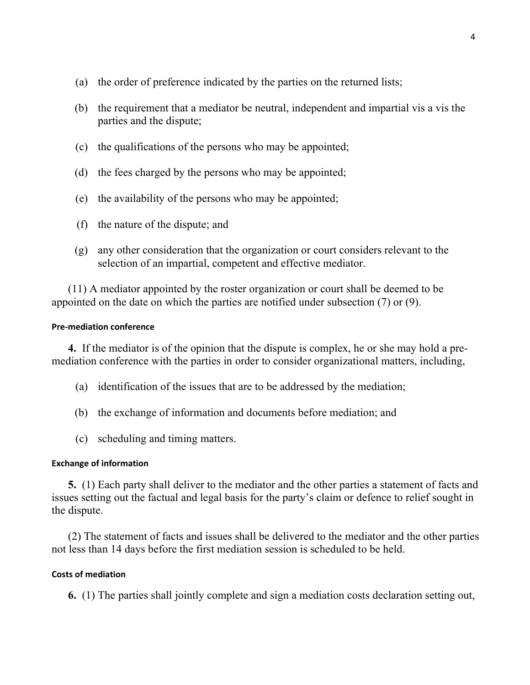- (a) the order of preference indicated by the parties on the returned lists;
- (b) the requirement that a mediator be neutral, independent and impartial vis a vis the parties and the dispute;
- (c) the qualifications of the persons who may be appointed;
- (d) the fees charged by the persons who may be appointed;
- (e) the availability of the persons who may be appointed;
- (f) the nature of the dispute; and
- (g) any other consideration that the organization or court considers relevant to the selection of an impartial, competent and effective mediator.

 (11) A mediator appointed by the roster organization or court shall be deemed to be appointed on the date on which the parties are notified under subsection (7) or (9).

### Pre-mediation conference

4. If the mediator is of the opinion that the dispute is complex, he or she may hold a premediation conference with the parties in order to consider organizational matters, including,

- (a) identification of the issues that are to be addressed by the mediation;
- (b) the exchange of information and documents before mediation; and
- (c) scheduling and timing matters.

### Exchange of information

5. (1) Each party shall deliver to the mediator and the other parties a statement of facts and issues setting out the factual and legal basis for the party's claim or defence to relief sought in the dispute.

 (2) The statement of facts and issues shall be delivered to the mediator and the other parties not less than 14 days before the first mediation session is scheduled to be held.

### Costs of mediation

6. (1) The parties shall jointly complete and sign a mediation costs declaration setting out,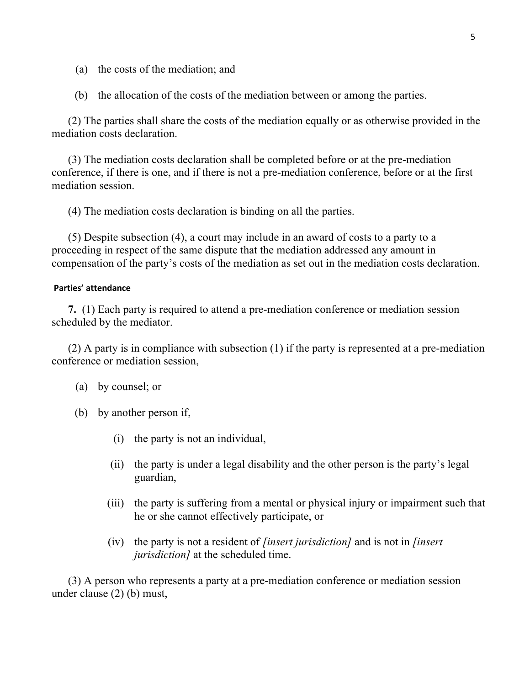- (a) the costs of the mediation; and
- (b) the allocation of the costs of the mediation between or among the parties.

 (2) The parties shall share the costs of the mediation equally or as otherwise provided in the mediation costs declaration.

 (3) The mediation costs declaration shall be completed before or at the pre-mediation conference, if there is one, and if there is not a pre-mediation conference, before or at the first mediation session.

(4) The mediation costs declaration is binding on all the parties.

 (5) Despite subsection (4), a court may include in an award of costs to a party to a proceeding in respect of the same dispute that the mediation addressed any amount in compensation of the party's costs of the mediation as set out in the mediation costs declaration.

### Parties' attendance

7. (1) Each party is required to attend a pre-mediation conference or mediation session scheduled by the mediator.

 (2) A party is in compliance with subsection (1) if the party is represented at a pre-mediation conference or mediation session,

- (a) by counsel; or
- (b) by another person if,
	- (i) the party is not an individual,
	- (ii) the party is under a legal disability and the other person is the party's legal guardian,
	- (iii) the party is suffering from a mental or physical injury or impairment such that he or she cannot effectively participate, or
	- (iv) the party is not a resident of *[insert jurisdiction]* and is not in *[insert*] jurisdiction] at the scheduled time.

 (3) A person who represents a party at a pre-mediation conference or mediation session under clause (2) (b) must,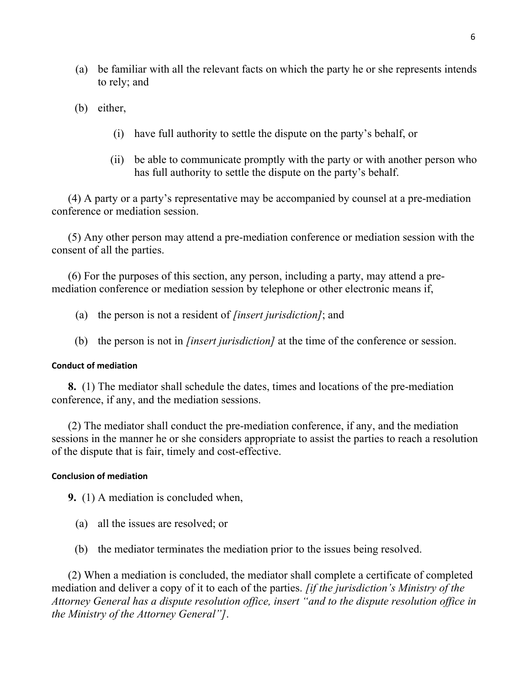- (a) be familiar with all the relevant facts on which the party he or she represents intends to rely; and
- (b) either,
	- (i) have full authority to settle the dispute on the party's behalf, or
	- (ii) be able to communicate promptly with the party or with another person who has full authority to settle the dispute on the party's behalf.

 (4) A party or a party's representative may be accompanied by counsel at a pre-mediation conference or mediation session.

 (5) Any other person may attend a pre-mediation conference or mediation session with the consent of all the parties.

 (6) For the purposes of this section, any person, including a party, may attend a premediation conference or mediation session by telephone or other electronic means if,

- (a) the person is not a resident of *[insert jurisdiction]*; and
- (b) the person is not in *[insert jurisdiction]* at the time of the conference or session.

### Conduct of mediation

8. (1) The mediator shall schedule the dates, times and locations of the pre-mediation conference, if any, and the mediation sessions.

 (2) The mediator shall conduct the pre-mediation conference, if any, and the mediation sessions in the manner he or she considers appropriate to assist the parties to reach a resolution of the dispute that is fair, timely and cost-effective.

### Conclusion of mediation

9. (1) A mediation is concluded when,

- (a) all the issues are resolved; or
- (b) the mediator terminates the mediation prior to the issues being resolved.

 (2) When a mediation is concluded, the mediator shall complete a certificate of completed mediation and deliver a copy of it to each of the parties. *[if the jurisdiction's Ministry of the* Attorney General has a dispute resolution office, insert "and to the dispute resolution office in the Ministry of the Attorney General"].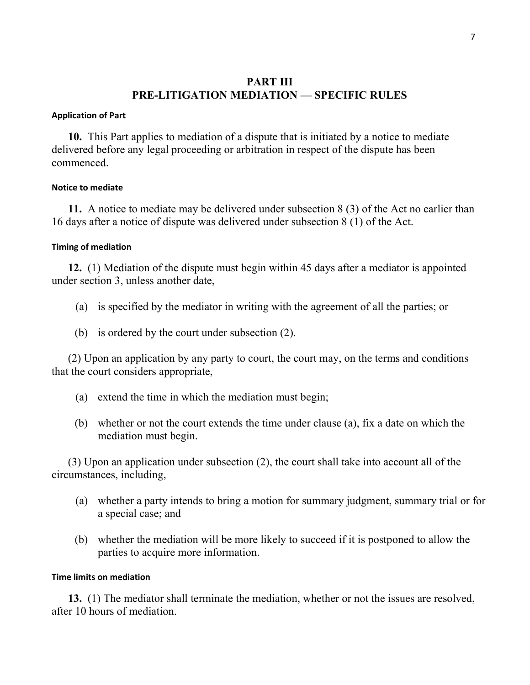# PART III PRE-LITIGATION MEDIATION — SPECIFIC RULES

### Application of Part

10. This Part applies to mediation of a dispute that is initiated by a notice to mediate delivered before any legal proceeding or arbitration in respect of the dispute has been commenced.

### Notice to mediate

11. A notice to mediate may be delivered under subsection 8 (3) of the Act no earlier than 16 days after a notice of dispute was delivered under subsection 8 (1) of the Act.

### Timing of mediation

12. (1) Mediation of the dispute must begin within 45 days after a mediator is appointed under section 3, unless another date,

- (a) is specified by the mediator in writing with the agreement of all the parties; or
- (b) is ordered by the court under subsection (2).

 (2) Upon an application by any party to court, the court may, on the terms and conditions that the court considers appropriate,

- (a) extend the time in which the mediation must begin;
- (b) whether or not the court extends the time under clause (a), fix a date on which the mediation must begin.

 (3) Upon an application under subsection (2), the court shall take into account all of the circumstances, including,

- (a) whether a party intends to bring a motion for summary judgment, summary trial or for a special case; and
- (b) whether the mediation will be more likely to succeed if it is postponed to allow the parties to acquire more information.

### Time limits on mediation

13. (1) The mediator shall terminate the mediation, whether or not the issues are resolved, after 10 hours of mediation.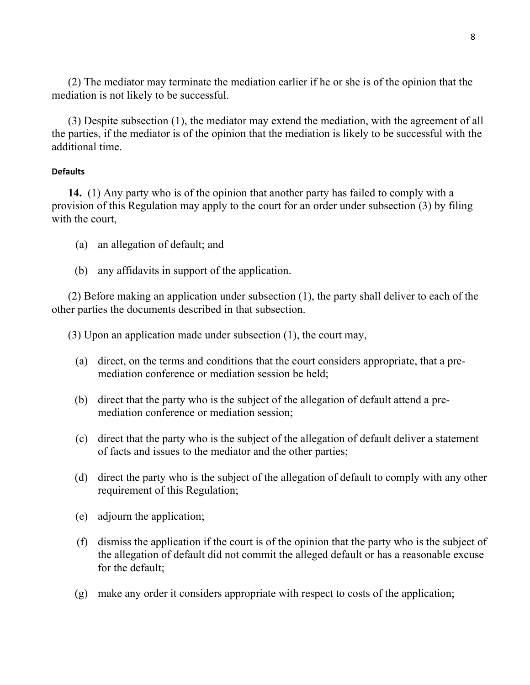(2) The mediator may terminate the mediation earlier if he or she is of the opinion that the mediation is not likely to be successful.

 (3) Despite subsection (1), the mediator may extend the mediation, with the agreement of all the parties, if the mediator is of the opinion that the mediation is likely to be successful with the additional time.

### **Defaults**

14. (1) Any party who is of the opinion that another party has failed to comply with a provision of this Regulation may apply to the court for an order under subsection (3) by filing with the court,

- (a) an allegation of default; and
- (b) any affidavits in support of the application.

 (2) Before making an application under subsection (1), the party shall deliver to each of the other parties the documents described in that subsection.

(3) Upon an application made under subsection (1), the court may,

- (a) direct, on the terms and conditions that the court considers appropriate, that a premediation conference or mediation session be held;
- (b) direct that the party who is the subject of the allegation of default attend a premediation conference or mediation session;
- (c) direct that the party who is the subject of the allegation of default deliver a statement of facts and issues to the mediator and the other parties;
- (d) direct the party who is the subject of the allegation of default to comply with any other requirement of this Regulation;
- (e) adjourn the application;
- (f) dismiss the application if the court is of the opinion that the party who is the subject of the allegation of default did not commit the alleged default or has a reasonable excuse for the default;
- (g) make any order it considers appropriate with respect to costs of the application;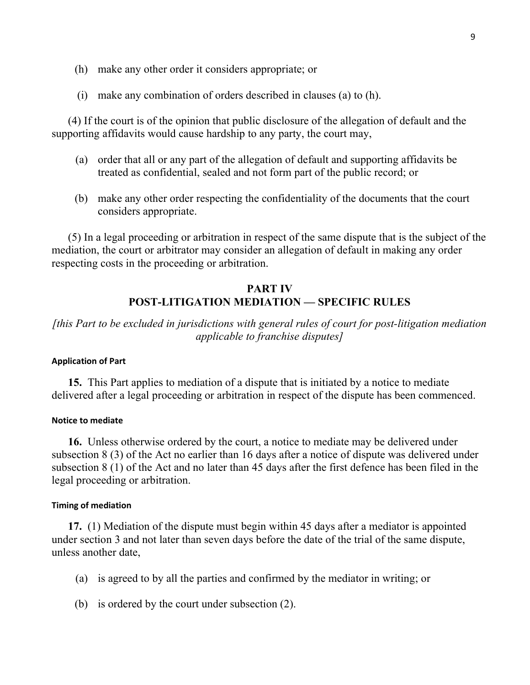- (h) make any other order it considers appropriate; or
- (i) make any combination of orders described in clauses (a) to (h).

 (4) If the court is of the opinion that public disclosure of the allegation of default and the supporting affidavits would cause hardship to any party, the court may,

- (a) order that all or any part of the allegation of default and supporting affidavits be treated as confidential, sealed and not form part of the public record; or
- (b) make any other order respecting the confidentiality of the documents that the court considers appropriate.

 (5) In a legal proceeding or arbitration in respect of the same dispute that is the subject of the mediation, the court or arbitrator may consider an allegation of default in making any order respecting costs in the proceeding or arbitration.

# PART IV POST-LITIGATION MEDIATION — SPECIFIC RULES

[this Part to be excluded in jurisdictions with general rules of court for post-litigation mediation applicable to franchise disputes]

### Application of Part

 15. This Part applies to mediation of a dispute that is initiated by a notice to mediate delivered after a legal proceeding or arbitration in respect of the dispute has been commenced.

### Notice to mediate

16. Unless otherwise ordered by the court, a notice to mediate may be delivered under subsection 8 (3) of the Act no earlier than 16 days after a notice of dispute was delivered under subsection 8 (1) of the Act and no later than 45 days after the first defence has been filed in the legal proceeding or arbitration.

### Timing of mediation

17. (1) Mediation of the dispute must begin within 45 days after a mediator is appointed under section 3 and not later than seven days before the date of the trial of the same dispute, unless another date,

- (a) is agreed to by all the parties and confirmed by the mediator in writing; or
- (b) is ordered by the court under subsection (2).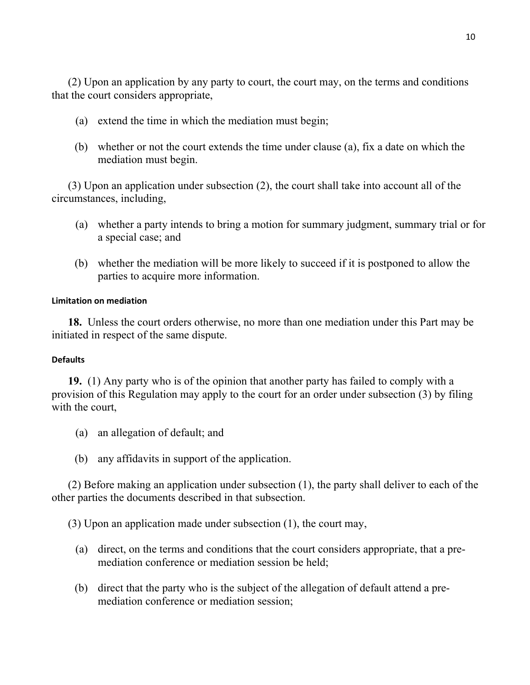(2) Upon an application by any party to court, the court may, on the terms and conditions that the court considers appropriate,

- (a) extend the time in which the mediation must begin;
- (b) whether or not the court extends the time under clause (a), fix a date on which the mediation must begin.

 (3) Upon an application under subsection (2), the court shall take into account all of the circumstances, including,

- (a) whether a party intends to bring a motion for summary judgment, summary trial or for a special case; and
- (b) whether the mediation will be more likely to succeed if it is postponed to allow the parties to acquire more information.

### Limitation on mediation

 18. Unless the court orders otherwise, no more than one mediation under this Part may be initiated in respect of the same dispute.

### **Defaults**

19. (1) Any party who is of the opinion that another party has failed to comply with a provision of this Regulation may apply to the court for an order under subsection (3) by filing with the court,

- (a) an allegation of default; and
- (b) any affidavits in support of the application.

 (2) Before making an application under subsection (1), the party shall deliver to each of the other parties the documents described in that subsection.

(3) Upon an application made under subsection (1), the court may,

- (a) direct, on the terms and conditions that the court considers appropriate, that a premediation conference or mediation session be held;
- (b) direct that the party who is the subject of the allegation of default attend a premediation conference or mediation session;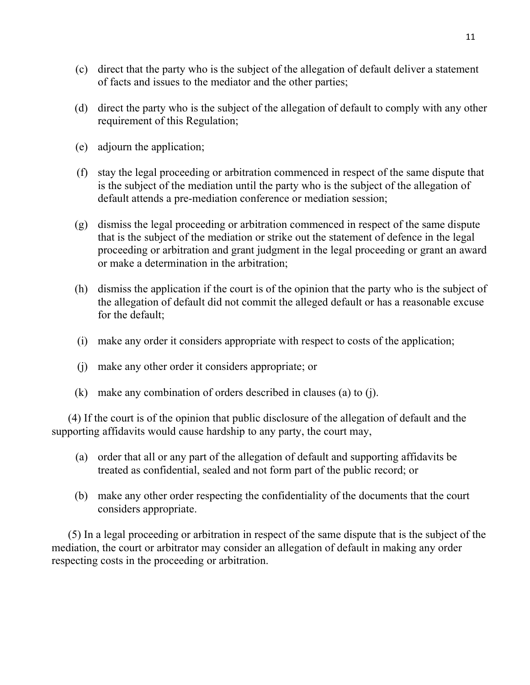- (c) direct that the party who is the subject of the allegation of default deliver a statement of facts and issues to the mediator and the other parties;
- (d) direct the party who is the subject of the allegation of default to comply with any other requirement of this Regulation;
- (e) adjourn the application;
- (f) stay the legal proceeding or arbitration commenced in respect of the same dispute that is the subject of the mediation until the party who is the subject of the allegation of default attends a pre-mediation conference or mediation session;
- (g) dismiss the legal proceeding or arbitration commenced in respect of the same dispute that is the subject of the mediation or strike out the statement of defence in the legal proceeding or arbitration and grant judgment in the legal proceeding or grant an award or make a determination in the arbitration;
- (h) dismiss the application if the court is of the opinion that the party who is the subject of the allegation of default did not commit the alleged default or has a reasonable excuse for the default;
- (i) make any order it considers appropriate with respect to costs of the application;
- (j) make any other order it considers appropriate; or
- (k) make any combination of orders described in clauses (a) to (j).

 (4) If the court is of the opinion that public disclosure of the allegation of default and the supporting affidavits would cause hardship to any party, the court may,

- (a) order that all or any part of the allegation of default and supporting affidavits be treated as confidential, sealed and not form part of the public record; or
- (b) make any other order respecting the confidentiality of the documents that the court considers appropriate.

 (5) In a legal proceeding or arbitration in respect of the same dispute that is the subject of the mediation, the court or arbitrator may consider an allegation of default in making any order respecting costs in the proceeding or arbitration.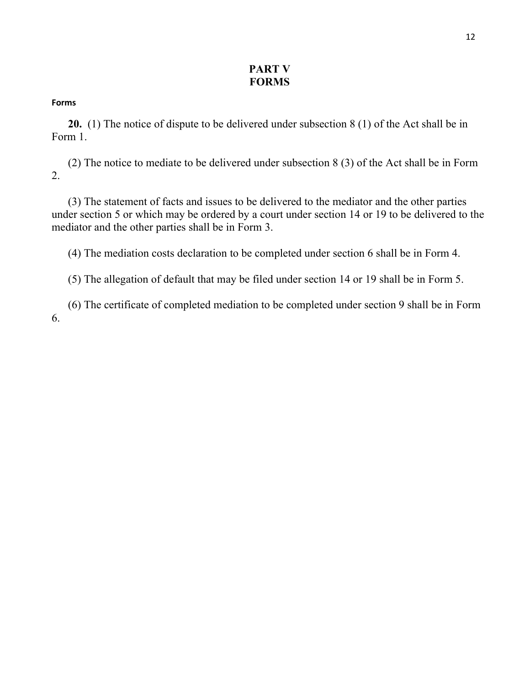# PART V **FORMS**

### Forms

20. (1) The notice of dispute to be delivered under subsection 8 (1) of the Act shall be in Form 1.

 (2) The notice to mediate to be delivered under subsection 8 (3) of the Act shall be in Form 2.

 (3) The statement of facts and issues to be delivered to the mediator and the other parties under section 5 or which may be ordered by a court under section 14 or 19 to be delivered to the mediator and the other parties shall be in Form 3.

(4) The mediation costs declaration to be completed under section 6 shall be in Form 4.

(5) The allegation of default that may be filed under section 14 or 19 shall be in Form 5.

 (6) The certificate of completed mediation to be completed under section 9 shall be in Form 6.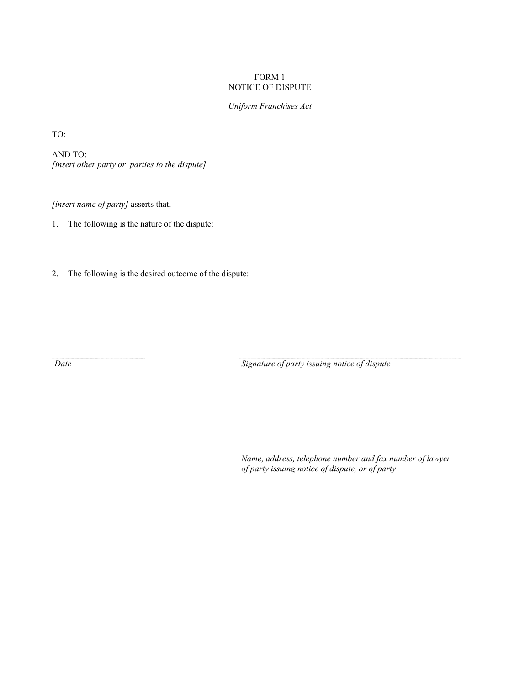### FORM 1 NOTICE OF DISPUTE

Uniform Franchises Act

TO:

AND TO: [insert other party or parties to the dispute]

[insert name of party] asserts that,

1. The following is the nature of the dispute:

2. The following is the desired outcome of the dispute:

Date Signature of party issuing notice of dispute

 Name, address, telephone number and fax number of lawyer of party issuing notice of dispute, or of party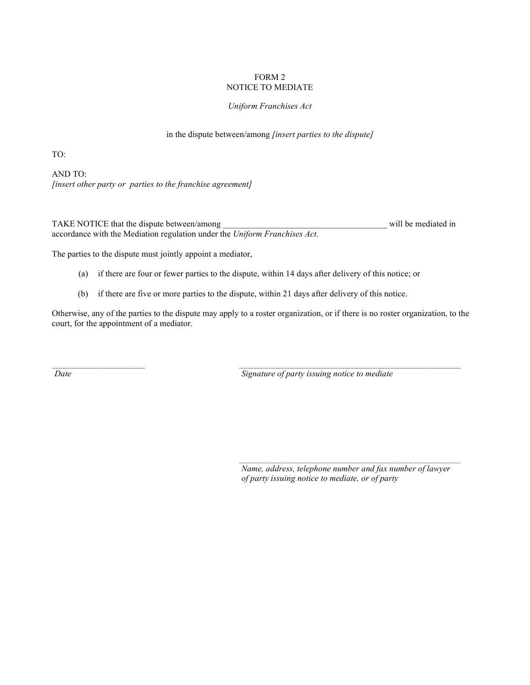#### FORM 2 NOTICE TO MEDIATE

#### Uniform Franchises Act

in the dispute between/among *[insert parties to the dispute]* 

TO:

AND TO: [insert other party or parties to the franchise agreement]

TAKE NOTICE that the dispute between/among will be mediated in accordance with the Mediation regulation under the Uniform Franchises Act.

The parties to the dispute must jointly appoint a mediator,

- (a) if there are four or fewer parties to the dispute, within 14 days after delivery of this notice; or
- (b) if there are five or more parties to the dispute, within 21 days after delivery of this notice.

Otherwise, any of the parties to the dispute may apply to a roster organization, or if there is no roster organization, to the court, for the appointment of a mediator.

Date Signature of party issuing notice to mediate

 Name, address, telephone number and fax number of lawyer of party issuing notice to mediate, or of party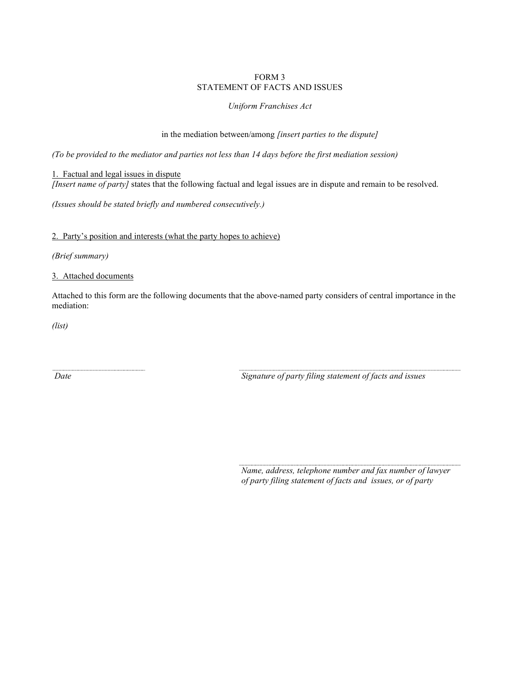#### FORM 3 STATEMENT OF FACTS AND ISSUES

#### Uniform Franchises Act

in the mediation between/among *[insert parties to the dispute]* 

(To be provided to the mediator and parties not less than 14 days before the first mediation session)

1. Factual and legal issues in dispute [Insert name of party] states that the following factual and legal issues are in dispute and remain to be resolved.

(Issues should be stated briefly and numbered consecutively.)

2. Party's position and interests (what the party hopes to achieve)

(Brief summary)

3. Attached documents

Attached to this form are the following documents that the above-named party considers of central importance in the mediation:

(list)

Date Signature of party filing statement of facts and issues

 Name, address, telephone number and fax number of lawyer of party filing statement of facts and issues, or of party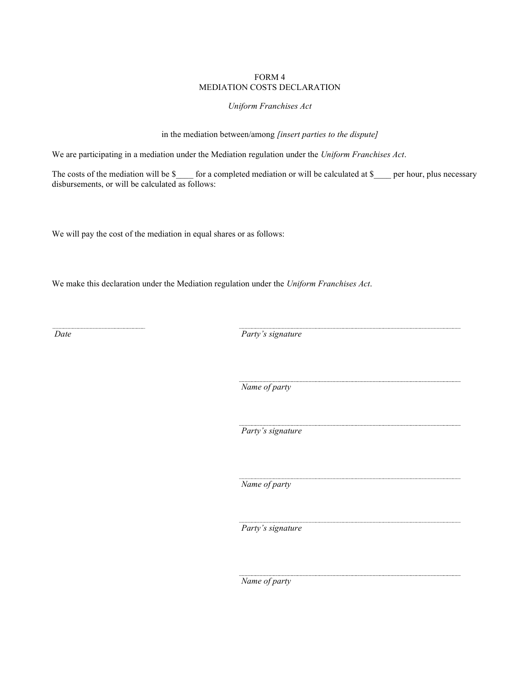#### FORM 4 MEDIATION COSTS DECLARATION

### Uniform Franchises Act

in the mediation between/among [insert parties to the dispute]

We are participating in a mediation under the Mediation regulation under the Uniform Franchises Act.

The costs of the mediation will be \$\_\_\_\_ for a completed mediation or will be calculated at \$\_\_\_\_ per hour, plus necessary disbursements, or will be calculated as follows:

We will pay the cost of the mediation in equal shares or as follows:

We make this declaration under the Mediation regulation under the Uniform Franchises Act.

Date Party's signature

Name of party

Party's signature

Name of party

Party's signature

Name of party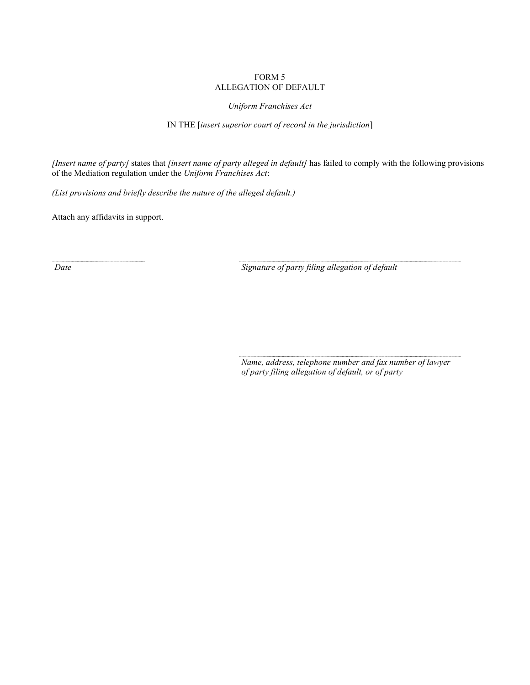#### FORM 5 ALLEGATION OF DEFAULT

Uniform Franchises Act

IN THE [insert superior court of record in the jurisdiction]

[Insert name of party] states that [insert name of party alleged in default] has failed to comply with the following provisions of the Mediation regulation under the Uniform Franchises Act:

(List provisions and briefly describe the nature of the alleged default.)

Attach any affidavits in support.

Date Signature of party filing allegation of default

 Name, address, telephone number and fax number of lawyer of party filing allegation of default, or of party